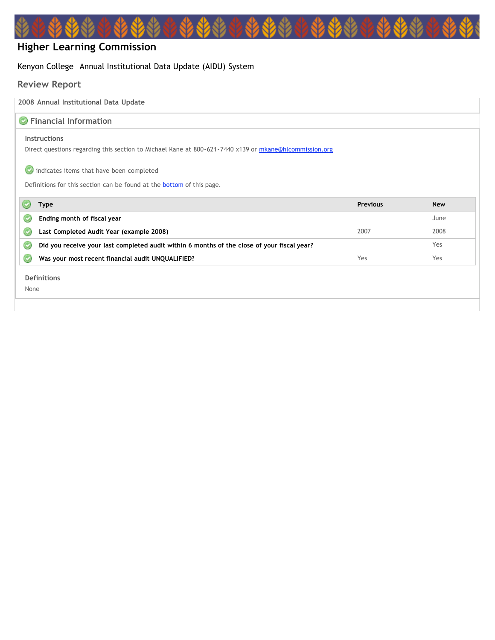# **Higher Learning Commission**

## Kenyon College Annual Institutional Data Update (AIDU) System

# **Review Report**

**2008 Annual Institutional Data Update**

| <b>C</b> Financial Information                                                                         |                 |            |
|--------------------------------------------------------------------------------------------------------|-----------------|------------|
|                                                                                                        |                 |            |
| <b>Instructions</b>                                                                                    |                 |            |
| Direct questions regarding this section to Michael Kane at 800-621-7440 x139 or mkane@hlcommission.org |                 |            |
|                                                                                                        |                 |            |
| indicates items that have been completed                                                               |                 |            |
|                                                                                                        |                 |            |
| Definitions for this section can be found at the <b>bottom</b> of this page.                           |                 |            |
| Type                                                                                                   | <b>Previous</b> | <b>New</b> |
|                                                                                                        |                 |            |
| Ending month of fiscal year                                                                            |                 | June       |
| Last Completed Audit Year (example 2008)                                                               | 2007            | 2008       |
| Did you receive your last completed audit within 6 months of the close of your fiscal year?            |                 | Yes        |
| Was your most recent financial audit UNQUALIFIED?                                                      | Yes             | Yes        |
|                                                                                                        |                 |            |
| <b>Definitions</b>                                                                                     |                 |            |
| None                                                                                                   |                 |            |
|                                                                                                        |                 |            |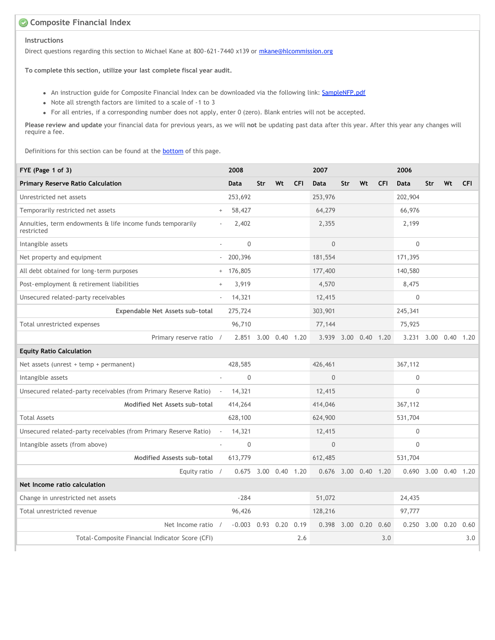## **Composite Financial Index**

#### **Instructions**

Direct questions regarding this section to Michael Kane at 800-621-7440 x139 or [mkane@hlcommission.org](mailto:mkane@hlcommission.org)

**To complete this section, utilize your last complete fiscal year audit.**

- An instruction guide for Composite Financial Index can be downloaded via the following link: [SampleNFP.pdf](http://aidu.ncahlc.org/CFI-Guides/SampleNFP.pdf)
- Note all strength factors are limited to a scale of -1 to 3
- For all entries, if a corresponding number does not apply, enter 0 (zero). Blank entries will not be accepted.

**Please review and update** your financial data for previous years, as we will **not** be updating past data after this year. After this year any changes will require a fee.

Definitions for this section can be found at the **[bottom](javascript:scroll_flash())** of this page.

| FYE (Page 1 of 3)                                                        |                                  | 2008                 |     |    |            | 2007                 |     |    |            | 2006                  |     |                      |            |
|--------------------------------------------------------------------------|----------------------------------|----------------------|-----|----|------------|----------------------|-----|----|------------|-----------------------|-----|----------------------|------------|
| Primary Reserve Ratio Calculation                                        |                                  | Data                 | Str | Wt | <b>CFI</b> | <b>Data</b>          | Str | Wt | <b>CFI</b> | Data                  | Str | Wt                   | <b>CFI</b> |
| Unrestricted net assets                                                  |                                  | 253,692              |     |    |            | 253,976              |     |    |            | 202,904               |     |                      |            |
| Temporarily restricted net assets                                        | $\begin{array}{c} + \end{array}$ | 58,427               |     |    |            | 64,279               |     |    |            | 66,976                |     |                      |            |
| Annuities, term endowments & life income funds temporarily<br>restricted |                                  | 2,402                |     |    |            | 2,355                |     |    |            | 2,199                 |     |                      |            |
| Intangible assets                                                        |                                  | $\mathbf{0}$         |     |    |            | $\mathbf{0}$         |     |    |            | $\mathbf 0$           |     |                      |            |
| Net property and equipment                                               | $\sim$                           | 200,396              |     |    |            | 181,554              |     |    |            | 171,395               |     |                      |            |
| All debt obtained for long-term purposes                                 |                                  | $+ 176,805$          |     |    |            | 177,400              |     |    |            | 140,580               |     |                      |            |
| Post-employment & retirement liabilities                                 | $^{+}$                           | 3,919                |     |    |            | 4,570                |     |    |            | 8,475                 |     |                      |            |
| Unsecured related-party receivables                                      | $\bar{a}$                        | 14,321               |     |    |            | 12,415               |     |    |            | $\boldsymbol{0}$      |     |                      |            |
| Expendable Net Assets sub-total                                          |                                  | 275,724              |     |    |            | 303,901              |     |    |            | 245,341               |     |                      |            |
| Total unrestricted expenses                                              |                                  | 96,710               |     |    |            | 77,144               |     |    |            | 75,925                |     |                      |            |
| Primary reserve ratio /                                                  |                                  | 2.851 3.00 0.40 1.20 |     |    |            | 3.939 3.00 0.40 1.20 |     |    |            |                       |     | 3.231 3.00 0.40 1.20 |            |
| <b>Equity Ratio Calculation</b>                                          |                                  |                      |     |    |            |                      |     |    |            |                       |     |                      |            |
| Net assets (unrest + temp + permanent)                                   |                                  | 428,585              |     |    |            | 426,461              |     |    |            | 367,112               |     |                      |            |
| Intangible assets                                                        |                                  | $\mathbf 0$          |     |    |            | $\mathbf{0}$         |     |    |            | 0                     |     |                      |            |
| Unsecured related-party receivables (from Primary Reserve Ratio)         | $\sim$                           | 14,321               |     |    |            | 12,415               |     |    |            | $\mathbf 0$           |     |                      |            |
| Modified Net Assets sub-total                                            |                                  | 414,264              |     |    |            | 414,046              |     |    |            | 367,112               |     |                      |            |
| <b>Total Assets</b>                                                      |                                  | 628,100              |     |    |            | 624,900              |     |    |            | 531,704               |     |                      |            |
| Unsecured related-party receivables (from Primary Reserve Ratio)         | $\overline{\phantom{a}}$         | 14,321               |     |    |            | 12,415               |     |    |            | 0                     |     |                      |            |
| Intangible assets (from above)                                           |                                  | $\mathbf{0}$         |     |    |            | $\overline{0}$       |     |    |            | $\Omega$              |     |                      |            |
| Modified Assests sub-total                                               |                                  | 613,779              |     |    |            | 612,485              |     |    |            | 531,704               |     |                      |            |
| Equity ratio $/$                                                         |                                  | 0.675 3.00 0.40 1.20 |     |    |            | 0.676 3.00 0.40 1.20 |     |    |            |                       |     | 0.690 3.00 0.40 1.20 |            |
| Net Income ratio calculation                                             |                                  |                      |     |    |            |                      |     |    |            |                       |     |                      |            |
| Change in unrestricted net assets                                        |                                  | $-284$               |     |    |            | 51,072               |     |    |            | 24,435                |     |                      |            |
| Total unrestricted revenue                                               |                                  | 96,426               |     |    |            | 128,216              |     |    |            | 97,777                |     |                      |            |
| Net Income ratio                                                         | $\sqrt{ }$                       | $-0.003$ 0.93 0.20   |     |    | 0.19       | 0.398 3.00 0.20      |     |    | 0.60       | $0.250$ $3.00$ $0.20$ |     |                      | 0.60       |
| Total-Composite Financial Indicator Score (CFI)                          |                                  |                      |     |    | 2.6        |                      |     |    | 3.0        |                       |     |                      | 3.0        |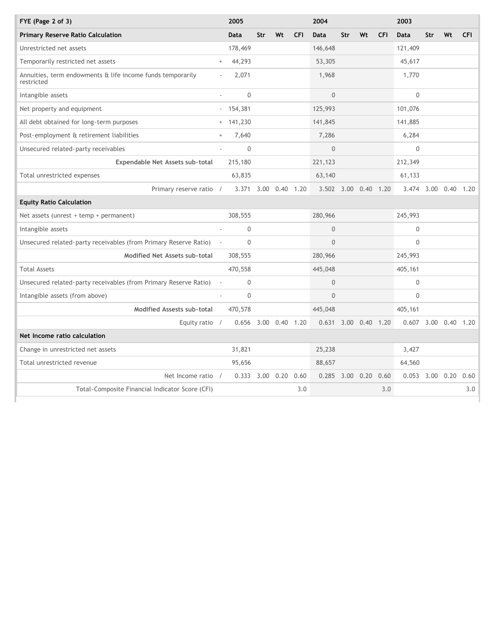| FYE (Page $2$ of $3$ )                                                   |        | 2005                 |     |                   |            | 2004                 |     |    |            | 2003              |     |                      |            |
|--------------------------------------------------------------------------|--------|----------------------|-----|-------------------|------------|----------------------|-----|----|------------|-------------------|-----|----------------------|------------|
| Primary Reserve Ratio Calculation                                        |        | Data                 | Str | Wt                | <b>CFI</b> | Data                 | Str | Wt | <b>CFI</b> | Data              | Str | Wt                   | <b>CFI</b> |
| Unrestricted net assets                                                  |        | 178,469              |     |                   |            | 146,648              |     |    |            | 121,409           |     |                      |            |
| Temporarily restricted net assets                                        | $^{+}$ | 44,293               |     |                   |            | 53,305               |     |    |            | 45,617            |     |                      |            |
| Annuities, term endowments & life income funds temporarily<br>restricted |        | 2,071                |     |                   |            | 1,968                |     |    |            | 1,770             |     |                      |            |
| Intangible assets                                                        |        | $\Omega$             |     |                   |            | $\Omega$             |     |    |            | $\Omega$          |     |                      |            |
| Net property and equipment                                               | $\sim$ | 154,381              |     |                   |            | 125,993              |     |    |            | 101,076           |     |                      |            |
| All debt obtained for long-term purposes                                 |        | $+ 141,230$          |     |                   |            | 141,845              |     |    |            | 141,885           |     |                      |            |
| Post-employment & retirement liabilities                                 | $^{+}$ | 7,640                |     |                   |            | 7,286                |     |    |            | 6,284             |     |                      |            |
| Unsecured related-party receivables                                      |        | $\mathbf 0$          |     |                   |            | $\overline{0}$       |     |    |            | $\mathbf 0$       |     |                      |            |
| Expendable Net Assets sub-total                                          |        | 215,180              |     |                   |            | 221,123              |     |    |            | 212,349           |     |                      |            |
| Total unrestricted expenses                                              |        | 63,835               |     |                   |            | 63,140               |     |    |            | 61,133            |     |                      |            |
| Primary reserve ratio /                                                  |        | 3.371 3.00 0.40 1.20 |     |                   |            | 3.502 3.00 0.40 1.20 |     |    |            |                   |     | 3.474 3.00 0.40 1.20 |            |
| <b>Equity Ratio Calculation</b>                                          |        |                      |     |                   |            |                      |     |    |            |                   |     |                      |            |
| Net assets (unrest $+$ temp $+$ permanent)                               |        | 308,555              |     |                   |            | 280,966              |     |    |            | 245,993           |     |                      |            |
| Intangible assets                                                        |        | $\mathbf 0$          |     |                   |            | $\overline{0}$       |     |    |            | 0                 |     |                      |            |
| Unsecured related-party receivables (from Primary Reserve Ratio)         |        | $\Omega$             |     |                   |            | $\Omega$             |     |    |            | $\Omega$          |     |                      |            |
| Modified Net Assets sub-total                                            |        | 308,555              |     |                   |            | 280,966              |     |    |            | 245,993           |     |                      |            |
| <b>Total Assets</b>                                                      |        | 470,558              |     |                   |            | 445,048              |     |    |            | 405,161           |     |                      |            |
| Unsecured related-party receivables (from Primary Reserve Ratio)         |        | $\mathbf{0}$         |     |                   |            | $\overline{0}$       |     |    |            | $\mathbf{0}$      |     |                      |            |
| Intangible assets (from above)                                           |        | $\mathbf 0$          |     |                   |            | $\overline{0}$       |     |    |            | $\mathbf{0}$      |     |                      |            |
| Modified Assests sub-total                                               |        | 470,578              |     |                   |            | 445,048              |     |    |            | 405,161           |     |                      |            |
| Equity ratio /                                                           |        | 0.656 3.00 0.40 1.20 |     |                   |            | 0.631 3.00 0.40 1.20 |     |    |            |                   |     | 0.607 3.00 0.40 1.20 |            |
| Net Income ratio calculation                                             |        |                      |     |                   |            |                      |     |    |            |                   |     |                      |            |
| Change in unrestricted net assets                                        |        | 31,821               |     |                   |            | 25,238               |     |    |            | 3,427             |     |                      |            |
| Total unrestricted revenue                                               |        | 95,656               |     |                   |            | 88,657               |     |    |            | 64,560            |     |                      |            |
| Net Income ratio /                                                       |        | 0.333                |     | $3.00 \quad 0.20$ | 0.60       | $0.285$ 3.00 0.20    |     |    | 0.60       | $0.053$ 3.00 0.20 |     |                      | 0.60       |
| Total-Composite Financial Indicator Score (CFI)                          |        |                      |     |                   | 3.0        |                      |     |    | 3.0        |                   |     |                      | 3.0        |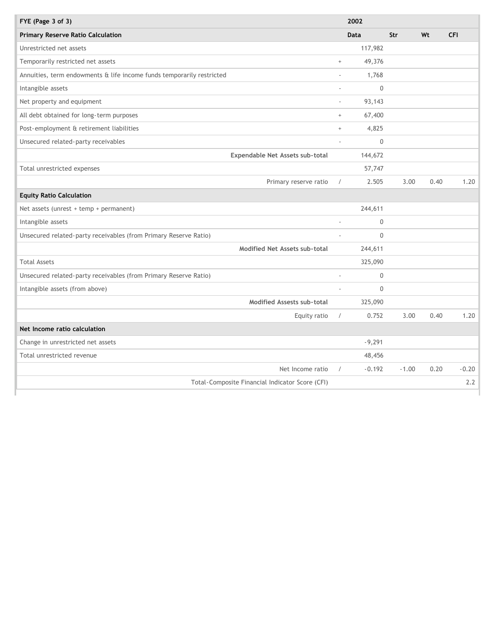| FYE (Page 3 of 3)                                                     |                 | 2002        |         |      |            |
|-----------------------------------------------------------------------|-----------------|-------------|---------|------|------------|
| <b>Primary Reserve Ratio Calculation</b>                              |                 | Data        | Str     | Wt   | <b>CFI</b> |
| Unrestricted net assets                                               |                 | 117,982     |         |      |            |
| Temporarily restricted net assets                                     | $^{+}$          | 49,376      |         |      |            |
| Annuities, term endowments & life income funds temporarily restricted | ÷.              | 1,768       |         |      |            |
| Intangible assets                                                     | ä,              | $\mathbf 0$ |         |      |            |
| Net property and equipment                                            | $\sim$          | 93,143      |         |      |            |
| All debt obtained for long-term purposes                              | $\! + \!\!\!\!$ | 67,400      |         |      |            |
| Post-employment & retirement liabilities                              | $^+$            | 4,825       |         |      |            |
| Unsecured related-party receivables                                   |                 | $\Omega$    |         |      |            |
| Expendable Net Assets sub-total                                       |                 | 144,672     |         |      |            |
| Total unrestricted expenses                                           |                 | 57,747      |         |      |            |
| Primary reserve ratio                                                 | $\sqrt{2}$      | 2.505       | 3.00    | 0.40 | 1.20       |
| <b>Equity Ratio Calculation</b>                                       |                 |             |         |      |            |
| Net assets (unrest $+$ temp $+$ permanent)                            |                 | 244,611     |         |      |            |
| Intangible assets                                                     |                 | 0           |         |      |            |
| Unsecured related-party receivables (from Primary Reserve Ratio)      |                 | $\mathbf 0$ |         |      |            |
| Modified Net Assets sub-total                                         |                 | 244,611     |         |      |            |
| <b>Total Assets</b>                                                   |                 | 325,090     |         |      |            |
| Unsecured related-party receivables (from Primary Reserve Ratio)      |                 | $\mathbf 0$ |         |      |            |
| Intangible assets (from above)                                        |                 | $\mathbf 0$ |         |      |            |
| Modified Assests sub-total                                            |                 | 325,090     |         |      |            |
| Equity ratio                                                          | $\sqrt{2}$      | 0.752       | 3.00    | 0.40 | 1.20       |
| Net Income ratio calculation                                          |                 |             |         |      |            |
| Change in unrestricted net assets                                     |                 | $-9,291$    |         |      |            |
| Total unrestricted revenue                                            |                 | 48,456      |         |      |            |
| Net Income ratio                                                      | $\sqrt{2}$      | $-0.192$    | $-1.00$ | 0.20 | $-0.20$    |
| Total-Composite Financial Indicator Score (CFI)                       |                 |             |         |      | 2.2        |
|                                                                       |                 |             |         |      |            |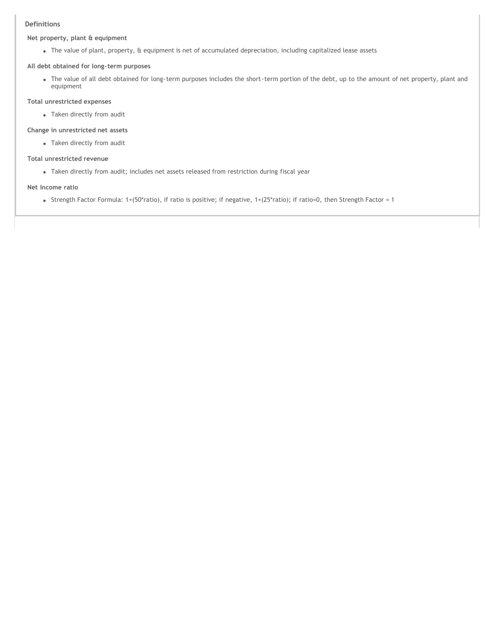#### **Definitions**

#### **Net property, plant & equipment**

The value of plant, property, & equipment is net of accumulated depreciation, including capitalized lease assets

#### **All debt obtained for long-term purposes**

The value of all debt obtained for long-term purposes includes the short-term portion of the debt, up to the amount of net property, plant and equipment

#### **Total unrestricted expenses**

Taken directly from audit

#### **Change in unrestricted net assets**

Taken directly from audit

#### **Total unrestricted revenue**

Taken directly from audit; includes net assets released from restriction during fiscal year

#### **Net Income ratio**

Strength Factor Formula:  $1+(50^*$ ratio), if ratio is positive; if negative,  $1+(25^*$ ratio); if ratio=0, then Strength Factor = 1